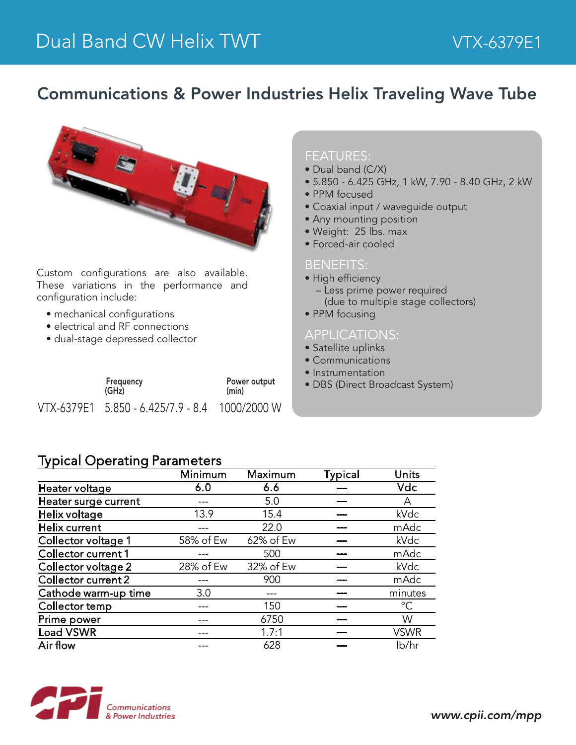## Communications & Power Industries Helix Traveling Wave Tube



Custom configurations are also available. These variations in the performance and configuration include:

- mechanical configurations
- electrical and RF connections
- dual-stage depressed collector

| Frequency |                                                | Power output |  |
|-----------|------------------------------------------------|--------------|--|
| (GHz)     |                                                | (min)        |  |
|           | VTX-6379E1 5.850 - 6.425/7.9 - 8.4 1000/2000 W |              |  |

#### FEATURES:

- Dual band (C/X)
- 5.850 6.425 GHz, 1 kW, 7.90 8.40 GHz, 2 kW
- PPM focused
- Coaxial input / waveguide output
- Any mounting position
- Weight: 25 lbs. max
- Forced-air cooled

#### BENEFITS:

- High efficiency
	- Less prime power required
		- (due to multiple stage collectors)
- PPM focusing

#### APPLICATIONS:

- Satellite uplinks
- Communications
- Instrumentation
- DBS (Direct Broadcast System)

### Typical Operating Parameters

|                      | Minimum   | Maximum   | <b>Typical</b> | Units        |
|----------------------|-----------|-----------|----------------|--------------|
| Heater voltage       | 6.0       | 6.6       |                | Vdc          |
| Heater surge current |           | 5.0       |                | А            |
| Helix voltage        | 13.9      | 15.4      |                | kVdc         |
| Helix current        |           | 22.0      |                | mAdc         |
| Collector voltage 1  | 58% of Ew | 62% of Ew |                | kVdc         |
| Collector current 1  |           | 500       |                | mAdc         |
| Collector voltage 2  | 28% of Ew | 32% of Ew |                | kVdc         |
| Collector current 2  |           | 900       |                | mAdc         |
| Cathode warm-up time | 3.0       |           |                | minutes      |
| Collector temp       |           | 150       |                | $^{\circ}$ C |
| Prime power          |           | 6750      |                | W            |
| <b>Load VSWR</b>     |           | 1.7:1     |                | <b>VSWR</b>  |
| Air flow             |           | 628       |                | lb/hr        |